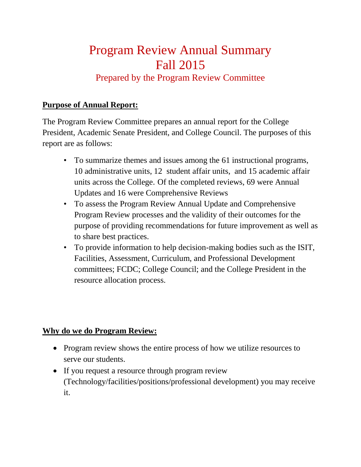# Program Review Annual Summary Fall 2015

# Prepared by the Program Review Committee

# **Purpose of Annual Report:**

The Program Review Committee prepares an annual report for the College President, Academic Senate President, and College Council. The purposes of this report are as follows:

- To summarize themes and issues among the 61 instructional programs, 10 administrative units, 12 student affair units, and 15 academic affair units across the College. Of the completed reviews, 69 were Annual Updates and 16 were Comprehensive Reviews
- To assess the Program Review Annual Update and Comprehensive Program Review processes and the validity of their outcomes for the purpose of providing recommendations for future improvement as well as to share best practices.
- To provide information to help decision-making bodies such as the ISIT, Facilities, Assessment, Curriculum, and Professional Development committees; FCDC; College Council; and the College President in the resource allocation process.

## **Why do we do Program Review:**

- Program review shows the entire process of how we utilize resources to serve our students.
- If you request a resource through program review (Technology/facilities/positions/professional development) you may receive it.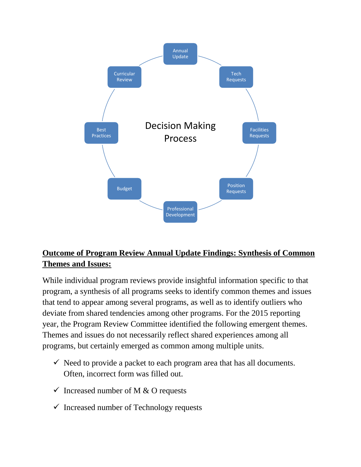

# **Outcome of Program Review Annual Update Findings: Synthesis of Common Themes and Issues:**

While individual program reviews provide insightful information specific to that program, a synthesis of all programs seeks to identify common themes and issues that tend to appear among several programs, as well as to identify outliers who deviate from shared tendencies among other programs. For the 2015 reporting year, the Program Review Committee identified the following emergent themes. Themes and issues do not necessarily reflect shared experiences among all programs, but certainly emerged as common among multiple units.

- $\checkmark$  Need to provide a packet to each program area that has all documents. Often, incorrect form was filled out.
- $\checkmark$  Increased number of M & O requests
- $\checkmark$  Increased number of Technology requests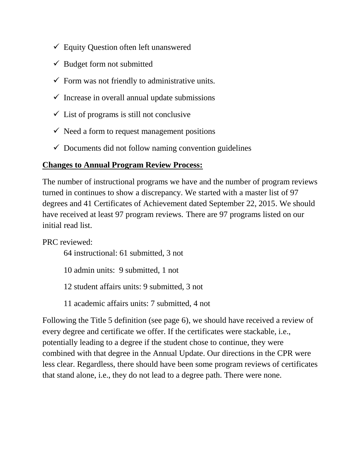- $\checkmark$  Equity Question often left unanswered
- $\checkmark$  Budget form not submitted
- $\checkmark$  Form was not friendly to administrative units.
- $\checkmark$  Increase in overall annual update submissions
- $\checkmark$  List of programs is still not conclusive
- $\checkmark$  Need a form to request management positions
- $\checkmark$  Documents did not follow naming convention guidelines

# **Changes to Annual Program Review Process:**

The number of instructional programs we have and the number of program reviews turned in continues to show a discrepancy. We started with a master list of 97 degrees and 41 Certificates of Achievement dated September 22, 2015. We should have received at least 97 program reviews. There are 97 programs listed on our initial read list.

PRC reviewed:

64 instructional: 61 submitted, 3 not

10 admin units: 9 submitted, 1 not

- 12 student affairs units: 9 submitted, 3 not
- 11 academic affairs units: 7 submitted, 4 not

Following the Title 5 definition (see page 6), we should have received a review of every degree and certificate we offer. If the certificates were stackable, i.e., potentially leading to a degree if the student chose to continue, they were combined with that degree in the Annual Update. Our directions in the CPR were less clear. Regardless, there should have been some program reviews of certificates that stand alone, i.e., they do not lead to a degree path. There were none.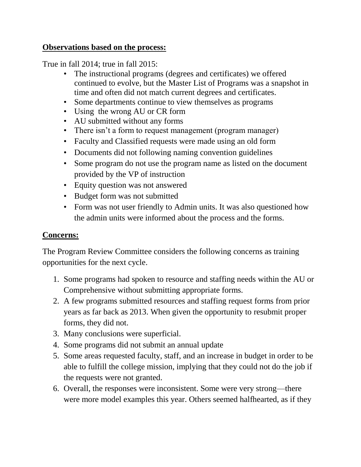#### **Observations based on the process:**

True in fall 2014; true in fall 2015:

- The instructional programs (degrees and certificates) we offered continued to evolve, but the Master List of Programs was a snapshot in time and often did not match current degrees and certificates.
- Some departments continue to view themselves as programs
- Using the wrong AU or CR form
- AU submitted without any forms
- There isn't a form to request management (program manager)
- Faculty and Classified requests were made using an old form
- Documents did not following naming convention guidelines
- Some program do not use the program name as listed on the document provided by the VP of instruction
- Equity question was not answered
- Budget form was not submitted
- Form was not user friendly to Admin units. It was also questioned how the admin units were informed about the process and the forms.

# **Concerns:**

The Program Review Committee considers the following concerns as training opportunities for the next cycle.

- 1. Some programs had spoken to resource and staffing needs within the AU or Comprehensive without submitting appropriate forms.
- 2. A few programs submitted resources and staffing request forms from prior years as far back as 2013. When given the opportunity to resubmit proper forms, they did not.
- 3. Many conclusions were superficial.
- 4. Some programs did not submit an annual update
- 5. Some areas requested faculty, staff, and an increase in budget in order to be able to fulfill the college mission, implying that they could not do the job if the requests were not granted.
- 6. Overall, the responses were inconsistent. Some were very strong—there were more model examples this year. Others seemed halfhearted, as if they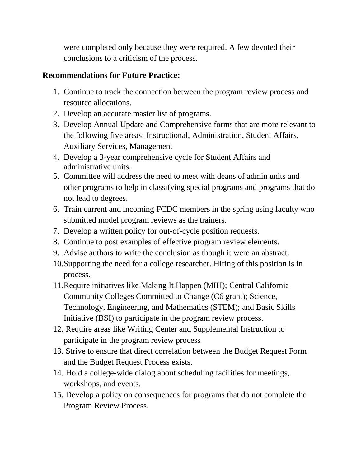were completed only because they were required. A few devoted their conclusions to a criticism of the process.

# **Recommendations for Future Practice:**

- 1. Continue to track the connection between the program review process and resource allocations.
- 2. Develop an accurate master list of programs.
- 3. Develop Annual Update and Comprehensive forms that are more relevant to the following five areas: Instructional, Administration, Student Affairs, Auxiliary Services, Management
- 4. Develop a 3-year comprehensive cycle for Student Affairs and administrative units.
- 5. Committee will address the need to meet with deans of admin units and other programs to help in classifying special programs and programs that do not lead to degrees.
- 6. Train current and incoming FCDC members in the spring using faculty who submitted model program reviews as the trainers.
- 7. Develop a written policy for out-of-cycle position requests.
- 8. Continue to post examples of effective program review elements.
- 9. Advise authors to write the conclusion as though it were an abstract.
- 10.Supporting the need for a college researcher. Hiring of this position is in process.
- 11.Require initiatives like Making It Happen (MIH); Central California Community Colleges Committed to Change (C6 grant); Science, Technology, Engineering, and Mathematics (STEM); and Basic Skills Initiative (BSI) to participate in the program review process.
- 12. Require areas like Writing Center and Supplemental Instruction to participate in the program review process
- 13. Strive to ensure that direct correlation between the Budget Request Form and the Budget Request Process exists.
- 14. Hold a college-wide dialog about scheduling facilities for meetings, workshops, and events.
- 15. Develop a policy on consequences for programs that do not complete the Program Review Process.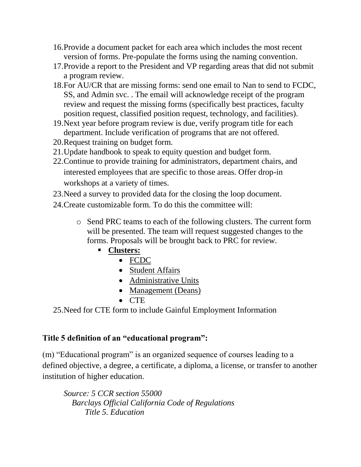- 16.Provide a document packet for each area which includes the most recent version of forms. Pre-populate the forms using the naming convention.
- 17.Provide a report to the President and VP regarding areas that did not submit a program review.
- 18.For AU/CR that are missing forms: send one email to Nan to send to FCDC, SS, and Admin svc. . The email will acknowledge receipt of the program review and request the missing forms (specifically best practices, faculty position request, classified position request, technology, and facilities).
- 19.Next year before program review is due, verify program title for each department. Include verification of programs that are not offered.
- 20.Request training on budget form.
- 21.Update handbook to speak to equity question and budget form.
- 22.Continue to provide training for administrators, department chairs, and interested employees that are specific to those areas. Offer drop-in workshops at a variety of times.
- 23.Need a survey to provided data for the closing the loop document.
- 24.Create customizable form. To do this the committee will:
	- o Send PRC teams to each of the following clusters. The current form will be presented. The team will request suggested changes to the forms. Proposals will be brought back to PRC for review.
		- **Clusters:** 
			- FCDC
			- Student Affairs
			- Administrative Units
			- Management (Deans)
			- $\bullet$  CTE

25.Need for CTE form to include Gainful Employment Information

# **Title 5 definition of an "educational program":**

(m) "Educational program" is an organized sequence of courses leading to a defined objective, a degree, a certificate, a diploma, a license, or transfer to another institution of higher education.

*Source: 5 CCR section 55000 Barclays Official California Code of Regulations Title 5. Education*